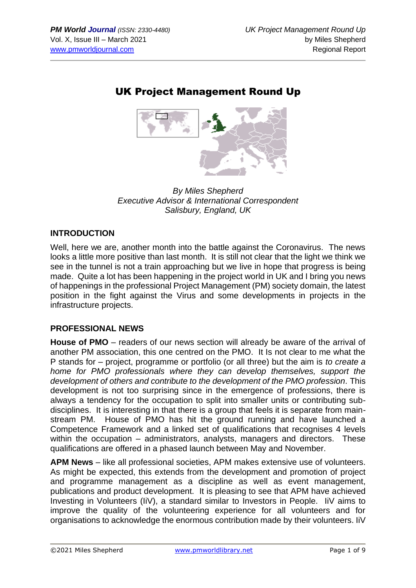# UK Project Management Round Up



*By Miles Shepherd Executive Advisor & International Correspondent Salisbury, England, UK*

## **INTRODUCTION**

Well, here we are, another month into the battle against the Coronavirus. The news looks a little more positive than last month. It is still not clear that the light we think we see in the tunnel is not a train approaching but we live in hope that progress is being made. Quite a lot has been happening in the project world in UK and I bring you news of happenings in the professional Project Management (PM) society domain, the latest position in the fight against the Virus and some developments in projects in the infrastructure projects.

### **PROFESSIONAL NEWS**

**House of PMO** – readers of our news section will already be aware of the arrival of another PM association, this one centred on the PMO. It Is not clear to me what the P stands for – project, programme or portfolio (or all three) but the aim is *to create a home for PMO professionals where they can develop themselves, support the development of others and contribute to the development of the PMO profession.* This development is not too surprising since in the emergence of professions, there is always a tendency for the occupation to split into smaller units or contributing subdisciplines. It is interesting in that there is a group that feels it is separate from mainstream PM. House of PMO has hit the ground running and have launched a Competence Framework and a linked set of qualifications that recognises 4 levels within the occupation – administrators, analysts, managers and directors. These qualifications are offered in a phased launch between May and November.

**APM News** – like all professional societies, APM makes extensive use of volunteers. As might be expected, this extends from the development and promotion of project and programme management as a discipline as well as event management, publications and product development. It is pleasing to see that APM have achieved Investing in Volunteers (IiV), a standard similar to Investors in People. IiV aims to improve the quality of the volunteering experience for all volunteers and for organisations to acknowledge the enormous contribution made by their volunteers. IiV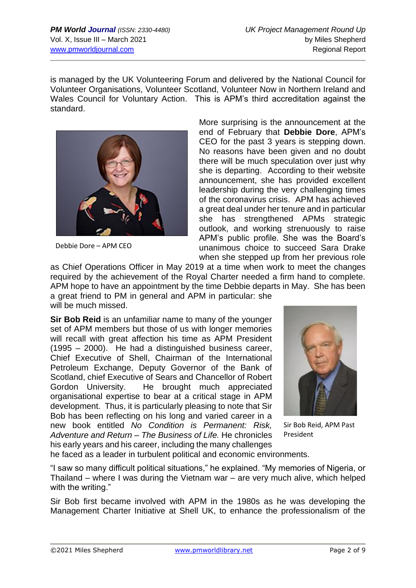is managed by the UK Volunteering Forum and delivered by the National Council for Volunteer Organisations, Volunteer Scotland, Volunteer Now in Northern Ireland and Wales Council for Voluntary Action. This is APM's third accreditation against the standard.



Debbie Dore – APM CEO

More surprising is the announcement at the end of February that **Debbie Dore**, APM's CEO for the past 3 years is stepping down. No reasons have been given and no doubt there will be much speculation over just why she is departing. According to their website announcement, she has provided excellent leadership during the very challenging times of the coronavirus crisis. APM has achieved a great deal under her tenure and in particular she has strengthened APMs strategic outlook, and working strenuously to raise APM's public profile. She was the Board's unanimous choice to succeed Sara Drake when she stepped up from her previous role

as Chief Operations Officer in May 2019 at a time when work to meet the changes required by the achievement of the Royal Charter needed a firm hand to complete. APM hope to have an appointment by the time Debbie departs in May. She has been a great friend to PM in general and APM in particular: she will be much missed.

**Sir Bob Reid** is an unfamiliar name to many of the younger set of APM members but those of us with longer memories will recall with great affection his time as APM President (1995 – 2000). He had a distinguished business career, Chief Executive of Shell, Chairman of the International Petroleum Exchange, Deputy Governor of the Bank of Scotland, chief Executive of Sears and Chancellor of Robert Gordon University. He brought much appreciated organisational expertise to bear at a critical stage in APM development. Thus, it is particularly pleasing to note that Sir Bob has been reflecting on his long and varied career in a new book entitled *No Condition is Permanent: Risk, Adventure and Return – The Business of Life.* He chronicles his early years and his career, including the many challenges



Sir Bob Reid, APM Past President

he faced as a leader in turbulent political and economic environments.

"I saw so many difficult political situations," he explained. "My memories of Nigeria, or Thailand – where I was during the Vietnam war – are very much alive, which helped with the writing."

Sir Bob first became involved with APM in the 1980s as he was developing the Management Charter Initiative at Shell UK, to enhance the professionalism of the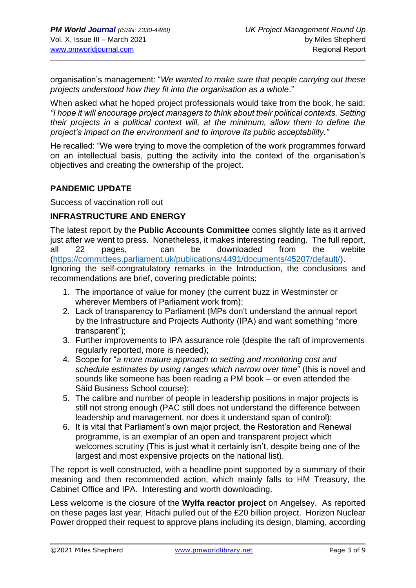organisation's management: "*We wanted to make sure that people carrying out these projects understood how they fit into the organisation as a whole*."

When asked what he hoped project professionals would take from the book, he said: *"I hope it will encourage project managers to think about their political contexts. Setting their projects in a political context will, at the minimum, allow them to define the project's impact on the environment and to improve its public acceptability."*

He recalled: "We were trying to move the completion of the work programmes forward on an intellectual basis, putting the activity into the context of the organisation's objectives and creating the ownership of the project.

#### **PANDEMIC UPDATE**

Success of vaccination roll out

#### **INFRASTRUCTURE AND ENERGY**

The latest report by the **Public Accounts Committee** comes slightly late as it arrived just after we went to press. Nonetheless, it makes interesting reading. The full report, all 22 pages, can be downloaded from the webite [\(https://committees.parliament.uk/publications/4491/documents/45207/default/\)](https://committees.parliament.uk/publications/4491/documents/45207/default/). Ignoring the self-congratulatory remarks in the Introduction, the conclusions and recommendations are brief, covering predictable points:

- 1. The importance of value for money (the current buzz in Westminster or wherever Members of Parliament work from);
- 2. Lack of transparency to Parliament (MPs don't understand the annual report by the Infrastructure and Projects Authority (IPA) and want something "more transparent");
- 3. Further improvements to IPA assurance role (despite the raft of improvements regularly reported, more is needed);
- 4. Scope for "*a more mature approach to setting and monitoring cost and schedule estimates by using ranges which narrow over time*" (this is novel and sounds like someone has been reading a PM book – or even attended the Säid Business School course);
- 5. The calibre and number of people in leadership positions in major projects is still not strong enough (PAC still does not understand the difference between leadership and management, nor does it understand span of control):
- 6. It is vital that Parliament's own major project, the Restoration and Renewal programme, is an exemplar of an open and transparent project which welcomes scrutiny (This is just what it certainly isn't, despite being one of the largest and most expensive projects on the national list).

The report is well constructed, with a headline point supported by a summary of their meaning and then recommended action, which mainly falls to HM Treasury, the Cabinet Office and IPA. Interesting and worth downloading.

Less welcome is the closure of the **Wylfa reactor project** on Angelsey. As reported on these pages last year, Hitachi pulled out of the £20 billion project. Horizon Nuclear Power dropped their request to approve plans including its design, blaming, according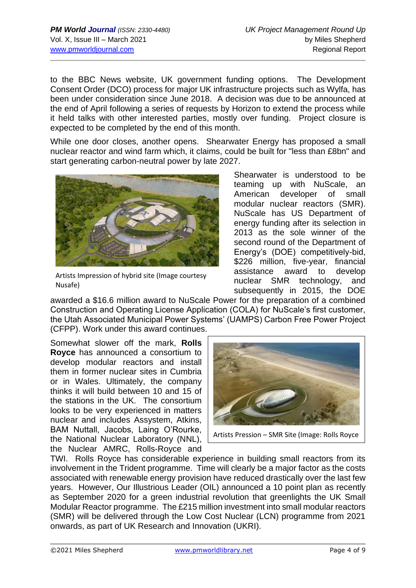to the BBC News website, UK government funding options. The Development Consent Order (DCO) process for major UK infrastructure projects such as Wylfa, has been under consideration since June 2018. A decision was due to be announced at the end of April following a series of requests by Horizon to extend the process while it held talks with other interested parties, mostly over funding. Project closure is expected to be completed by the end of this month.

While one door closes, another opens. Shearwater Energy has proposed a small nuclear reactor and wind farm which, it claims, could be built for "less than £8bn" and start generating carbon-neutral power by late 2027.



Artists Impression of hybrid site (Image courtesy Nusafe)

Shearwater is understood to be teaming up with NuScale, an American developer of small modular nuclear reactors (SMR). NuScale has US Department of energy funding after its selection in 2013 as the sole winner of the second round of the Department of Energy's (DOE) competitively-bid, \$226 million, five-year, financial assistance award to develop nuclear SMR technology, and subsequently in 2015, the DOE

awarded a \$16.6 million award to NuScale Power for the preparation of a combined Construction and Operating License Application (COLA) for NuScale's first customer, the Utah Associated Municipal Power Systems' (UAMPS) Carbon Free Power Project (CFPP). Work under this award continues.

Somewhat slower off the mark, **Rolls Royce** has announced a consortium to develop modular reactors and install them in former nuclear sites in Cumbria or in Wales. Ultimately, the company thinks it will build between 10 and 15 of the stations in the UK. The consortium looks to be very experienced in matters nuclear and includes Assystem, Atkins, BAM Nuttall, Jacobs, Laing O'Rourke, the National Nuclear Laboratory (NNL), the Nuclear AMRC, Rolls-Royce and



Artists Pression – SMR Site (Image: Rolls Royce

TWI. Rolls Royce has considerable experience in building small reactors from its involvement in the Trident programme. Time will clearly be a major factor as the costs associated with renewable energy provision have reduced drastically over the last few years. However, Our Illustrious Leader (OIL) announced a 10 point plan as recently as September 2020 for a green industrial revolution that greenlights the UK Small Modular Reactor programme. The £215 million investment into small modular reactors (SMR) will be delivered through the Low Cost Nuclear (LCN) programme from 2021 onwards, as part of UK Research and Innovation (UKRI).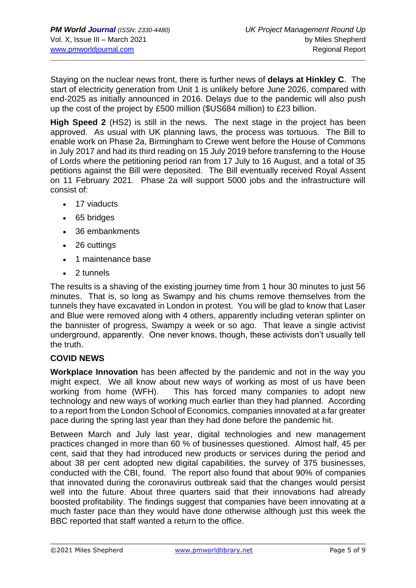Staying on the nuclear news front, there is further news of **delays at Hinkley C**. The start of electricity generation from Unit 1 is unlikely before June 2026, compared with end-2025 as initially announced in 2016. Delays due to the pandemic will also push up the cost of the project by £500 million (\$US684 million) to £23 billion.

**High Speed 2** (HS2) is still in the news. The next stage in the project has been approved. As usual with UK planning laws, the process was tortuous. The Bill to enable work on Phase 2a, Birmingham to Crewe went before the House of Commons in July 2017 and had its third reading on 15 July 2019 before transferring to the House of Lords where the petitioning period ran from 17 July to 16 August, and a total of 35 petitions against the Bill were deposited. The Bill eventually received Royal Assent on 11 February 2021. Phase 2a will support 5000 jobs and the infrastructure will consist of:

- 17 viaducts
- 65 bridges
- 36 embankments
- 26 cuttings
- 1 maintenance base
- 2 tunnels

The results is a shaving of the existing journey time from 1 hour 30 minutes to just 56 minutes. That is, so long as Swampy and his chums remove themselves from the tunnels they have excavated in London in protest. You will be glad to know that Laser and Blue were removed along with 4 others, apparently including veteran splinter on the bannister of progress, Swampy a week or so ago. That leave a single activist underground, apparently. One never knows, though, these activists don't usually tell the truth.

#### **COVID NEWS**

**Workplace Innovation** has been affected by the pandemic and not in the way you might expect. We all know about new ways of working as most of us have been working from home (WFH). This has forced many companies to adopt new technology and new ways of working much earlier than they had planned. According to a report from the London School of Economics, companies innovated at a far greater pace during the spring last year than they had done before the pandemic hit.

Between March and July last year, digital technologies and new management practices changed in more than 60 % of businesses questioned. Almost half, 45 per cent, said that they had introduced new products or services during the period and about 38 per cent adopted new digital capabilities, the survey of 375 businesses, conducted with the CBI, found. The report also found that about 90% of companies that innovated during the coronavirus outbreak said that the changes would persist well into the future. About three quarters said that their innovations had already boosted profitability. The findings suggest that companies have been innovating at a much faster pace than they would have done otherwise although just this week the BBC reported that staff wanted a return to the office.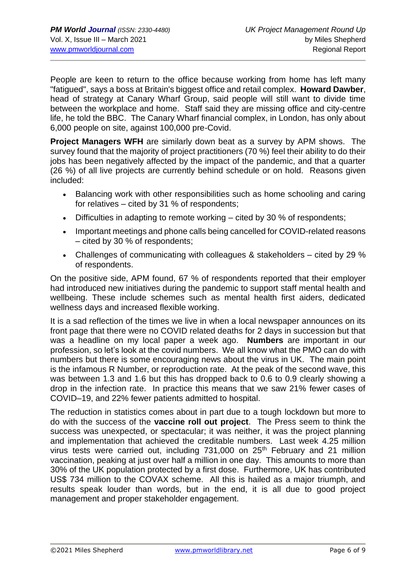People are keen to return to the office because working from home has left many "fatigued", says a boss at Britain's biggest office and retail complex. **Howard Dawber**, head of strategy at Canary Wharf Group, said people will still want to divide time between the workplace and home. Staff said they are missing office and city-centre life, he told the BBC. The Canary Wharf financial complex, in London, has only about 6,000 people on site, against 100,000 pre-Covid.

**Project Managers WFH** are similarly down beat as a survey by APM shows. The survey found that the majority of project practitioners (70 %) feel their ability to do their jobs has been negatively affected by the impact of the pandemic, and that a quarter (26 %) of all live projects are currently behind schedule or on hold. Reasons given included:

- Balancing work with other responsibilities such as home schooling and caring for relatives – cited by 31 % of respondents;
- Difficulties in adapting to remote working cited by 30 % of respondents;
- Important meetings and phone calls being cancelled for COVID-related reasons – cited by 30 % of respondents;
- Challenges of communicating with colleagues & stakeholders cited by 29 % of respondents.

On the positive side, APM found, 67 % of respondents reported that their employer had introduced new initiatives during the pandemic to support staff mental health and wellbeing. These include schemes such as mental health first aiders, dedicated wellness days and increased flexible working.

It is a sad reflection of the times we live in when a local newspaper announces on its front page that there were no COVID related deaths for 2 days in succession but that was a headline on my local paper a week ago. **Numbers** are important in our profession, so let's look at the covid numbers. We all know what the PMO can do with numbers but there is some encouraging news about the virus in UK. The main point is the infamous R Number, or reproduction rate. At the peak of the second wave, this was between 1.3 and 1.6 but this has dropped back to 0.6 to 0.9 clearly showing a drop in the infection rate. In practice this means that we saw 21% fewer cases of COVID–19, and 22% fewer patients admitted to hospital.

The reduction in statistics comes about in part due to a tough lockdown but more to do with the success of the **vaccine roll out project**. The Press seem to think the success was unexpected, or spectacular; it was neither, it was the project planning and implementation that achieved the creditable numbers. Last week 4.25 million virus tests were carried out, including 731,000 on 25<sup>th</sup> February and 21 million vaccination, peaking at just over half a million in one day. This amounts to more than 30% of the UK population protected by a first dose. Furthermore, UK has contributed US\$ 734 million to the COVAX scheme. All this is hailed as a major triumph, and results speak louder than words, but in the end, it is all due to good project management and proper stakeholder engagement.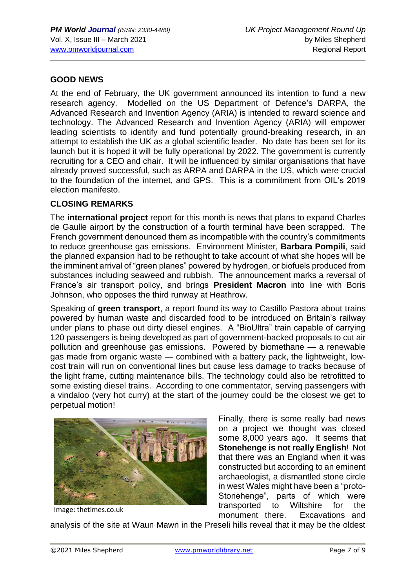### **GOOD NEWS**

At the end of February, the UK government announced its intention to fund a new research agency. Modelled on the US Department of Defence's DARPA, the Advanced Research and Invention Agency (ARIA) is intended to reward science and technology. The Advanced Research and Invention Agency (ARIA) will empower leading scientists to identify and fund potentially ground-breaking research, in an attempt to establish the UK as a global scientific leader. No date has been set for its launch but it is hoped it will be fully operational by 2022. The government is currently recruiting for a CEO and chair. It will be influenced by similar organisations that have already proved successful, such as ARPA and DARPA in the US, which were crucial to the foundation of the internet, and GPS. This is a commitment from OIL's 2019 election manifesto.

#### **CLOSING REMARKS**

The **international project** report for this month is news that plans to expand Charles de Gaulle airport by the construction of a fourth terminal have been scrapped. The French government denounced them as incompatible with the country's commitments to reduce greenhouse gas emissions. Environment Minister, **Barbara Pompili**, said the planned expansion had to be rethought to take account of what she hopes will be the imminent arrival of "green planes" powered by hydrogen, or biofuels produced from substances including seaweed and rubbish. The announcement marks a reversal of France's air transport policy, and brings **President Macron** into line with Boris Johnson, who opposes the third runway at Heathrow.

Speaking of **green transport**, a report found its way to Castillo Pastora about trains powered by human waste and discarded food to be introduced on Britain's railway under plans to phase out dirty diesel engines. A "BioUltra" train capable of carrying 120 passengers is being developed as part of government-backed proposals to cut air pollution and greenhouse gas emissions. Powered by biomethane — a renewable gas made from organic waste — combined with a battery pack, the lightweight, lowcost train will run on conventional lines but cause less damage to tracks because of the light frame, cutting maintenance bills. The technology could also be retrofitted to some existing diesel trains. According to one commentator, serving passengers with a vindaloo (very hot curry) at the start of the journey could be the closest we get to perpetual motion!



Image: thetimes.co.uk

Finally, there is some really bad news on a project we thought was closed some 8,000 years ago. It seems that **Stonehenge is not really English**! Not that there was an England when it was constructed but according to an eminent archaeologist, a dismantled stone circle in west Wales might have been a "proto-Stonehenge", parts of which were transported to Wiltshire for the monument there. Excavations and

analysis of the site at Waun Mawn in the Preseli hills reveal that it may be the oldest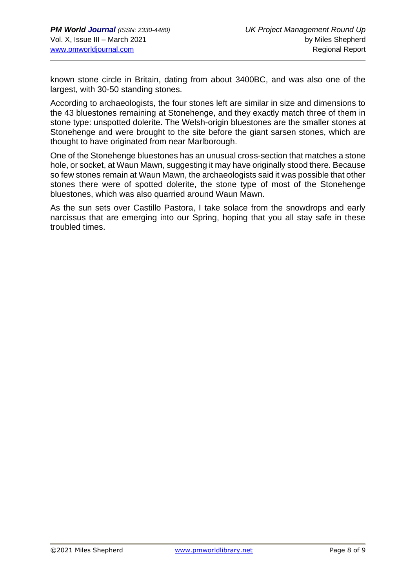known stone circle in Britain, dating from about 3400BC, and was also one of the largest, with 30-50 standing stones.

According to archaeologists, the four stones left are similar in size and dimensions to the 43 bluestones remaining at Stonehenge, and they exactly match three of them in stone type: unspotted dolerite. The Welsh-origin bluestones are the smaller stones at Stonehenge and were brought to the site before the giant sarsen stones, which are thought to have originated from near Marlborough.

One of the Stonehenge bluestones has an unusual cross-section that matches a stone hole, or socket, at Waun Mawn, suggesting it may have originally stood there. Because so few stones remain at Waun Mawn, the archaeologists said it was possible that other stones there were of spotted dolerite, the stone type of most of the Stonehenge bluestones, which was also quarried around Waun Mawn.

As the sun sets over Castillo Pastora, I take solace from the snowdrops and early narcissus that are emerging into our Spring, hoping that you all stay safe in these troubled times.